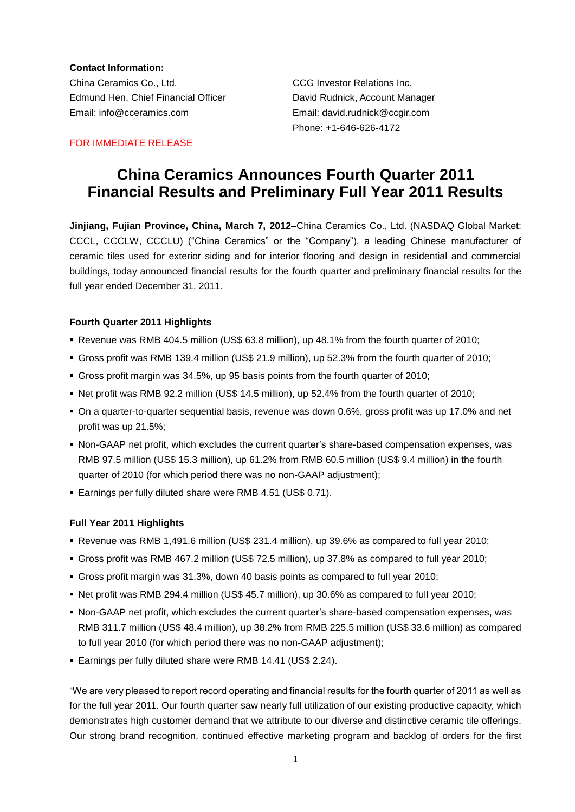#### **Contact Information:**

China Ceramics Co., Ltd. CCG Investor Relations Inc. Edmund Hen, Chief Financial Officer David Rudnick, Account Manager Email: info@cceramics.com Email: david.rudnick@ccgir.com

Phone: +1-646-626-4172

# FOR IMMEDIATE RELEASE

# **China Ceramics Announces Fourth Quarter 2011 Financial Results and Preliminary Full Year 2011 Results**

**Jinjiang, Fujian Province, China, March 7, 2012**–China Ceramics Co., Ltd. (NASDAQ Global Market: CCCL, CCCLW, CCCLU) ("China Ceramics" or the "Company"), a leading Chinese manufacturer of ceramic tiles used for exterior siding and for interior flooring and design in residential and commercial buildings, today announced financial results for the fourth quarter and preliminary financial results for the full year ended December 31, 2011.

## **Fourth Quarter 2011 Highlights**

- Revenue was RMB 404.5 million (US\$ 63.8 million), up 48.1% from the fourth quarter of 2010;
- Gross profit was RMB 139.4 million (US\$ 21.9 million), up 52.3% from the fourth quarter of 2010;
- Gross profit margin was 34.5%, up 95 basis points from the fourth quarter of 2010;
- Net profit was RMB 92.2 million (US\$ 14.5 million), up 52.4% from the fourth quarter of 2010;
- On a quarter-to-quarter sequential basis, revenue was down 0.6%, gross profit was up 17.0% and net profit was up 21.5%;
- Non-GAAP net profit, which excludes the current quarter's share-based compensation expenses, was RMB 97.5 million (US\$ 15.3 million), up 61.2% from RMB 60.5 million (US\$ 9.4 million) in the fourth quarter of 2010 (for which period there was no non-GAAP adjustment);
- Earnings per fully diluted share were RMB 4.51 (US\$ 0.71).

## **Full Year 2011 Highlights**

- Revenue was RMB 1,491.6 million (US\$ 231.4 million), up 39.6% as compared to full year 2010;
- Gross profit was RMB 467.2 million (US\$ 72.5 million), up 37.8% as compared to full year 2010;
- Gross profit margin was 31.3%, down 40 basis points as compared to full year 2010;
- Net profit was RMB 294.4 million (US\$ 45.7 million), up 30.6% as compared to full year 2010;
- Non-GAAP net profit, which excludes the current quarter's share-based compensation expenses, was RMB 311.7 million (US\$ 48.4 million), up 38.2% from RMB 225.5 million (US\$ 33.6 million) as compared to full year 2010 (for which period there was no non-GAAP adjustment);
- Earnings per fully diluted share were RMB 14.41 (US\$ 2.24).

"We are very pleased to report record operating and financial results for the fourth quarter of 2011 as well as for the full year 2011. Our fourth quarter saw nearly full utilization of our existing productive capacity, which demonstrates high customer demand that we attribute to our diverse and distinctive ceramic tile offerings. Our strong brand recognition, continued effective marketing program and backlog of orders for the first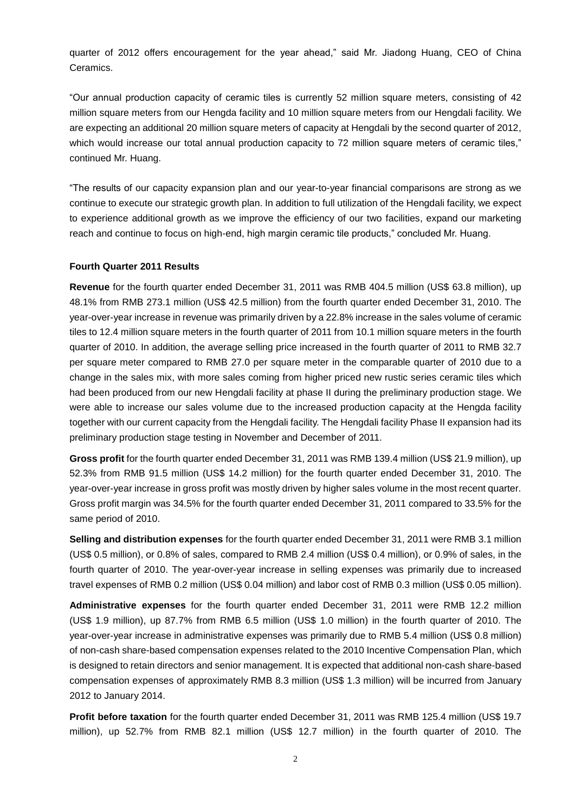quarter of 2012 offers encouragement for the year ahead," said Mr. Jiadong Huang, CEO of China Ceramics.

"Our annual production capacity of ceramic tiles is currently 52 million square meters, consisting of 42 million square meters from our Hengda facility and 10 million square meters from our Hengdali facility. We are expecting an additional 20 million square meters of capacity at Hengdali by the second quarter of 2012, which would increase our total annual production capacity to 72 million square meters of ceramic tiles," continued Mr. Huang.

"The results of our capacity expansion plan and our year-to-year financial comparisons are strong as we continue to execute our strategic growth plan. In addition to full utilization of the Hengdali facility, we expect to experience additional growth as we improve the efficiency of our two facilities, expand our marketing reach and continue to focus on high-end, high margin ceramic tile products," concluded Mr. Huang.

#### **Fourth Quarter 2011 Results**

**Revenue** for the fourth quarter ended December 31, 2011 was RMB 404.5 million (US\$ 63.8 million), up 48.1% from RMB 273.1 million (US\$ 42.5 million) from the fourth quarter ended December 31, 2010. The year-over-year increase in revenue was primarily driven by a 22.8% increase in the sales volume of ceramic tiles to 12.4 million square meters in the fourth quarter of 2011 from 10.1 million square meters in the fourth quarter of 2010. In addition, the average selling price increased in the fourth quarter of 2011 to RMB 32.7 per square meter compared to RMB 27.0 per square meter in the comparable quarter of 2010 due to a change in the sales mix, with more sales coming from higher priced new rustic series ceramic tiles which had been produced from our new Hengdali facility at phase II during the preliminary production stage. We were able to increase our sales volume due to the increased production capacity at the Hengda facility together with our current capacity from the Hengdali facility. The Hengdali facility Phase II expansion had its preliminary production stage testing in November and December of 2011.

**Gross profit** for the fourth quarter ended December 31, 2011 was RMB 139.4 million (US\$ 21.9 million), up 52.3% from RMB 91.5 million (US\$ 14.2 million) for the fourth quarter ended December 31, 2010. The year-over-year increase in gross profit was mostly driven by higher sales volume in the most recent quarter. Gross profit margin was 34.5% for the fourth quarter ended December 31, 2011 compared to 33.5% for the same period of 2010.

**Selling and distribution expenses** for the fourth quarter ended December 31, 2011 were RMB 3.1 million (US\$ 0.5 million), or 0.8% of sales, compared to RMB 2.4 million (US\$ 0.4 million), or 0.9% of sales, in the fourth quarter of 2010. The year-over-year increase in selling expenses was primarily due to increased travel expenses of RMB 0.2 million (US\$ 0.04 million) and labor cost of RMB 0.3 million (US\$ 0.05 million).

**Administrative expenses** for the fourth quarter ended December 31, 2011 were RMB 12.2 million (US\$ 1.9 million), up 87.7% from RMB 6.5 million (US\$ 1.0 million) in the fourth quarter of 2010. The year-over-year increase in administrative expenses was primarily due to RMB 5.4 million (US\$ 0.8 million) of non-cash share-based compensation expenses related to the 2010 Incentive Compensation Plan, which is designed to retain directors and senior management. It is expected that additional non-cash share-based compensation expenses of approximately RMB 8.3 million (US\$ 1.3 million) will be incurred from January 2012 to January 2014.

**Profit before taxation** for the fourth quarter ended December 31, 2011 was RMB 125.4 million (US\$ 19.7 million), up 52.7% from RMB 82.1 million (US\$ 12.7 million) in the fourth quarter of 2010. The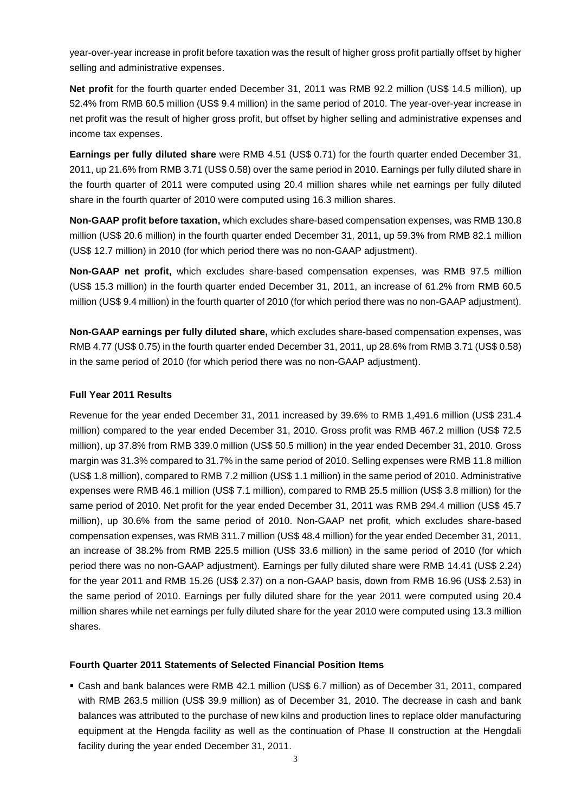year-over-year increase in profit before taxation was the result of higher gross profit partially offset by higher selling and administrative expenses.

**Net profit** for the fourth quarter ended December 31, 2011 was RMB 92.2 million (US\$ 14.5 million), up 52.4% from RMB 60.5 million (US\$ 9.4 million) in the same period of 2010. The year-over-year increase in net profit was the result of higher gross profit, but offset by higher selling and administrative expenses and income tax expenses.

**Earnings per fully diluted share** were RMB 4.51 (US\$ 0.71) for the fourth quarter ended December 31, 2011, up 21.6% from RMB 3.71 (US\$ 0.58) over the same period in 2010. Earnings per fully diluted share in the fourth quarter of 2011 were computed using 20.4 million shares while net earnings per fully diluted share in the fourth quarter of 2010 were computed using 16.3 million shares.

**Non-GAAP profit before taxation,** which excludes share-based compensation expenses, was RMB 130.8 million (US\$ 20.6 million) in the fourth quarter ended December 31, 2011, up 59.3% from RMB 82.1 million (US\$ 12.7 million) in 2010 (for which period there was no non-GAAP adjustment).

**Non-GAAP net profit,** which excludes share-based compensation expenses, was RMB 97.5 million (US\$ 15.3 million) in the fourth quarter ended December 31, 2011, an increase of 61.2% from RMB 60.5 million (US\$ 9.4 million) in the fourth quarter of 2010 (for which period there was no non-GAAP adjustment).

**Non-GAAP earnings per fully diluted share,** which excludes share-based compensation expenses, was RMB 4.77 (US\$ 0.75) in the fourth quarter ended December 31, 2011, up 28.6% from RMB 3.71 (US\$ 0.58) in the same period of 2010 (for which period there was no non-GAAP adjustment).

## **Full Year 2011 Results**

Revenue for the year ended December 31, 2011 increased by 39.6% to RMB 1,491.6 million (US\$ 231.4 million) compared to the year ended December 31, 2010. Gross profit was RMB 467.2 million (US\$ 72.5 million), up 37.8% from RMB 339.0 million (US\$ 50.5 million) in the year ended December 31, 2010. Gross margin was 31.3% compared to 31.7% in the same period of 2010. Selling expenses were RMB 11.8 million (US\$ 1.8 million), compared to RMB 7.2 million (US\$ 1.1 million) in the same period of 2010. Administrative expenses were RMB 46.1 million (US\$ 7.1 million), compared to RMB 25.5 million (US\$ 3.8 million) for the same period of 2010. Net profit for the year ended December 31, 2011 was RMB 294.4 million (US\$ 45.7 million), up 30.6% from the same period of 2010. Non-GAAP net profit, which excludes share-based compensation expenses, was RMB 311.7 million (US\$ 48.4 million) for the year ended December 31, 2011, an increase of 38.2% from RMB 225.5 million (US\$ 33.6 million) in the same period of 2010 (for which period there was no non-GAAP adjustment). Earnings per fully diluted share were RMB 14.41 (US\$ 2.24) for the year 2011 and RMB 15.26 (US\$ 2.37) on a non-GAAP basis, down from RMB 16.96 (US\$ 2.53) in the same period of 2010. Earnings per fully diluted share for the year 2011 were computed using 20.4 million shares while net earnings per fully diluted share for the year 2010 were computed using 13.3 million shares.

## **Fourth Quarter 2011 Statements of Selected Financial Position Items**

 Cash and bank balances were RMB 42.1 million (US\$ 6.7 million) as of December 31, 2011, compared with RMB 263.5 million (US\$ 39.9 million) as of December 31, 2010. The decrease in cash and bank balances was attributed to the purchase of new kilns and production lines to replace older manufacturing equipment at the Hengda facility as well as the continuation of Phase II construction at the Hengdali facility during the year ended December 31, 2011.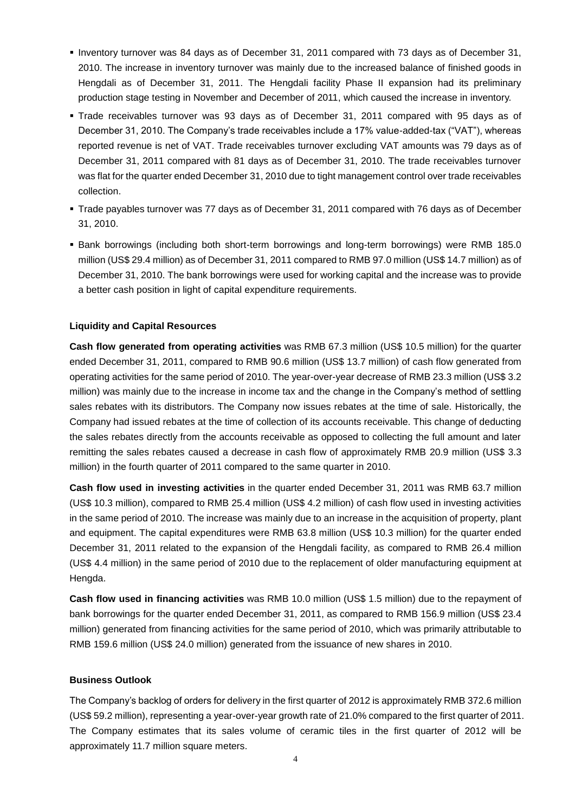- Inventory turnover was 84 days as of December 31, 2011 compared with 73 days as of December 31, 2010. The increase in inventory turnover was mainly due to the increased balance of finished goods in Hengdali as of December 31, 2011. The Hengdali facility Phase II expansion had its preliminary production stage testing in November and December of 2011, which caused the increase in inventory.
- Trade receivables turnover was 93 days as of December 31, 2011 compared with 95 days as of December 31, 2010. The Company's trade receivables include a 17% value-added-tax ("VAT"), whereas reported revenue is net of VAT. Trade receivables turnover excluding VAT amounts was 79 days as of December 31, 2011 compared with 81 days as of December 31, 2010. The trade receivables turnover was flat for the quarter ended December 31, 2010 due to tight management control over trade receivables collection.
- Trade payables turnover was 77 days as of December 31, 2011 compared with 76 days as of December 31, 2010.
- **Bank borrowings (including both short-term borrowings and long-term borrowings) were RMB 185.0** million (US\$ 29.4 million) as of December 31, 2011 compared to RMB 97.0 million (US\$ 14.7 million) as of December 31, 2010. The bank borrowings were used for working capital and the increase was to provide a better cash position in light of capital expenditure requirements.

## **Liquidity and Capital Resources**

**Cash flow generated from operating activities** was RMB 67.3 million (US\$ 10.5 million) for the quarter ended December 31, 2011, compared to RMB 90.6 million (US\$ 13.7 million) of cash flow generated from operating activities for the same period of 2010. The year-over-year decrease of RMB 23.3 million (US\$ 3.2 million) was mainly due to the increase in income tax and the change in the Company's method of settling sales rebates with its distributors. The Company now issues rebates at the time of sale. Historically, the Company had issued rebates at the time of collection of its accounts receivable. This change of deducting the sales rebates directly from the accounts receivable as opposed to collecting the full amount and later remitting the sales rebates caused a decrease in cash flow of approximately RMB 20.9 million (US\$ 3.3 million) in the fourth quarter of 2011 compared to the same quarter in 2010.

**Cash flow used in investing activities** in the quarter ended December 31, 2011 was RMB 63.7 million (US\$ 10.3 million), compared to RMB 25.4 million (US\$ 4.2 million) of cash flow used in investing activities in the same period of 2010. The increase was mainly due to an increase in the acquisition of property, plant and equipment. The capital expenditures were RMB 63.8 million (US\$ 10.3 million) for the quarter ended December 31, 2011 related to the expansion of the Hengdali facility, as compared to RMB 26.4 million (US\$ 4.4 million) in the same period of 2010 due to the replacement of older manufacturing equipment at Hengda.

**Cash flow used in financing activities** was RMB 10.0 million (US\$ 1.5 million) due to the repayment of bank borrowings for the quarter ended December 31, 2011, as compared to RMB 156.9 million (US\$ 23.4 million) generated from financing activities for the same period of 2010, which was primarily attributable to RMB 159.6 million (US\$ 24.0 million) generated from the issuance of new shares in 2010.

#### **Business Outlook**

The Company's backlog of orders for delivery in the first quarter of 2012 is approximately RMB 372.6 million (US\$ 59.2 million), representing a year-over-year growth rate of 21.0% compared to the first quarter of 2011. The Company estimates that its sales volume of ceramic tiles in the first quarter of 2012 will be approximately 11.7 million square meters.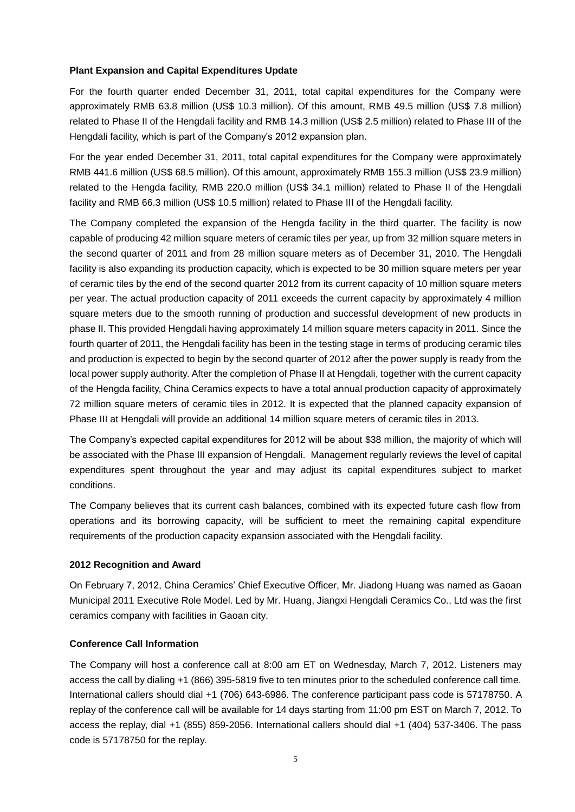#### **Plant Expansion and Capital Expenditures Update**

For the fourth quarter ended December 31, 2011, total capital expenditures for the Company were approximately RMB 63.8 million (US\$ 10.3 million). Of this amount, RMB 49.5 million (US\$ 7.8 million) related to Phase II of the Hengdali facility and RMB 14.3 million (US\$ 2.5 million) related to Phase III of the Hengdali facility, which is part of the Company's 2012 expansion plan.

For the year ended December 31, 2011, total capital expenditures for the Company were approximately RMB 441.6 million (US\$ 68.5 million). Of this amount, approximately RMB 155.3 million (US\$ 23.9 million) related to the Hengda facility, RMB 220.0 million (US\$ 34.1 million) related to Phase II of the Hengdali facility and RMB 66.3 million (US\$ 10.5 million) related to Phase III of the Hengdali facility.

The Company completed the expansion of the Hengda facility in the third quarter. The facility is now capable of producing 42 million square meters of ceramic tiles per year, up from 32 million square meters in the second quarter of 2011 and from 28 million square meters as of December 31, 2010. The Hengdali facility is also expanding its production capacity, which is expected to be 30 million square meters per year of ceramic tiles by the end of the second quarter 2012 from its current capacity of 10 million square meters per year. The actual production capacity of 2011 exceeds the current capacity by approximately 4 million square meters due to the smooth running of production and successful development of new products in phase II. This provided Hengdali having approximately 14 million square meters capacity in 2011. Since the fourth quarter of 2011, the Hengdali facility has been in the testing stage in terms of producing ceramic tiles and production is expected to begin by the second quarter of 2012 after the power supply is ready from the local power supply authority. After the completion of Phase II at Hengdali, together with the current capacity of the Hengda facility, China Ceramics expects to have a total annual production capacity of approximately 72 million square meters of ceramic tiles in 2012. It is expected that the planned capacity expansion of Phase III at Hengdali will provide an additional 14 million square meters of ceramic tiles in 2013.

The Company's expected capital expenditures for 2012 will be about \$38 million, the majority of which will be associated with the Phase III expansion of Hengdali. Management regularly reviews the level of capital expenditures spent throughout the year and may adjust its capital expenditures subject to market conditions.

The Company believes that its current cash balances, combined with its expected future cash flow from operations and its borrowing capacity, will be sufficient to meet the remaining capital expenditure requirements of the production capacity expansion associated with the Hengdali facility.

## **2012 Recognition and Award**

On February 7, 2012, China Ceramics' Chief Executive Officer, Mr. Jiadong Huang was named as Gaoan Municipal 2011 Executive Role Model. Led by Mr. Huang, Jiangxi Hengdali Ceramics Co., Ltd was the first ceramics company with facilities in Gaoan city.

## **Conference Call Information**

The Company will host a conference call at 8:00 am ET on Wednesday, March 7, 2012. Listeners may access the call by dialing +1 (866) 395-5819 five to ten minutes prior to the scheduled conference call time. International callers should dial +1 (706) 643-6986. The conference participant pass code is 57178750. A replay of the conference call will be available for 14 days starting from 11:00 pm EST on March 7, 2012. To access the replay, dial +1 (855) 859-2056. International callers should dial +1 (404) 537-3406. The pass code is 57178750 for the replay.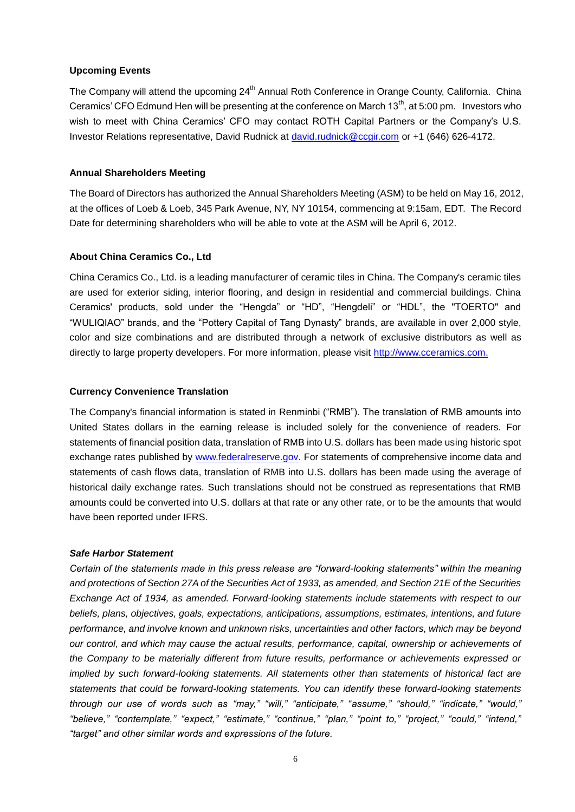#### **Upcoming Events**

The Company will attend the upcoming 24<sup>th</sup> Annual Roth Conference in Orange County, California. China Ceramics' CFO Edmund Hen will be presenting at the conference on March  $13<sup>th</sup>$ , at 5:00 pm. Investors who wish to meet with China Ceramics' CFO may contact ROTH Capital Partners or the Company's U.S. Investor Relations representative, David Rudnick at [david.rudnick@ccgir.com](mailto:david.rudnick@ccgir.com) or +1 (646) 626-4172.

#### **Annual Shareholders Meeting**

The Board of Directors has authorized the Annual Shareholders Meeting (ASM) to be held on May 16, 2012, at the offices of Loeb & Loeb, 345 Park Avenue, NY, NY 10154, commencing at 9:15am, EDT. The Record Date for determining shareholders who will be able to vote at the ASM will be April 6, 2012.

#### **About China Ceramics Co., Ltd**

China Ceramics Co., Ltd. is a leading manufacturer of ceramic tiles in China. The Company's ceramic tiles are used for exterior siding, interior flooring, and design in residential and commercial buildings. China Ceramics' products, sold under the "Hengda" or "HD", "Hengdeli" or "HDL", the "TOERTO" and "WULIQIAO" brands, and the "Pottery Capital of Tang Dynasty" brands, are available in over 2,000 style, color and size combinations and are distributed through a network of exclusive distributors as well as directly to large property developers. For more information, please visit [http://www.cceramics.com.](http://www.cceramics.com/)

#### **Currency Convenience Translation**

The Company's financial information is stated in Renminbi ("RMB"). The translation of RMB amounts into United States dollars in the earning release is included solely for the convenience of readers. For statements of financial position data, translation of RMB into U.S. dollars has been made using historic spot exchange rates published by [www.federalreserve.gov.](http://www.federalreserve.gov/) For statements of comprehensive income data and statements of cash flows data, translation of RMB into U.S. dollars has been made using the average of historical daily exchange rates. Such translations should not be construed as representations that RMB amounts could be converted into U.S. dollars at that rate or any other rate, or to be the amounts that would have been reported under IFRS.

#### *Safe Harbor Statement*

*Certain of the statements made in this press release are "forward-looking statements" within the meaning and protections of Section 27A of the Securities Act of 1933, as amended, and Section 21E of the Securities Exchange Act of 1934, as amended. Forward-looking statements include statements with respect to our beliefs, plans, objectives, goals, expectations, anticipations, assumptions, estimates, intentions, and future performance, and involve known and unknown risks, uncertainties and other factors, which may be beyond our control, and which may cause the actual results, performance, capital, ownership or achievements of the Company to be materially different from future results, performance or achievements expressed or implied by such forward-looking statements. All statements other than statements of historical fact are statements that could be forward-looking statements. You can identify these forward-looking statements through our use of words such as "may," "will," "anticipate," "assume," "should," "indicate," "would," "believe," "contemplate," "expect," "estimate," "continue," "plan," "point to," "project," "could," "intend," "target" and other similar words and expressions of the future.*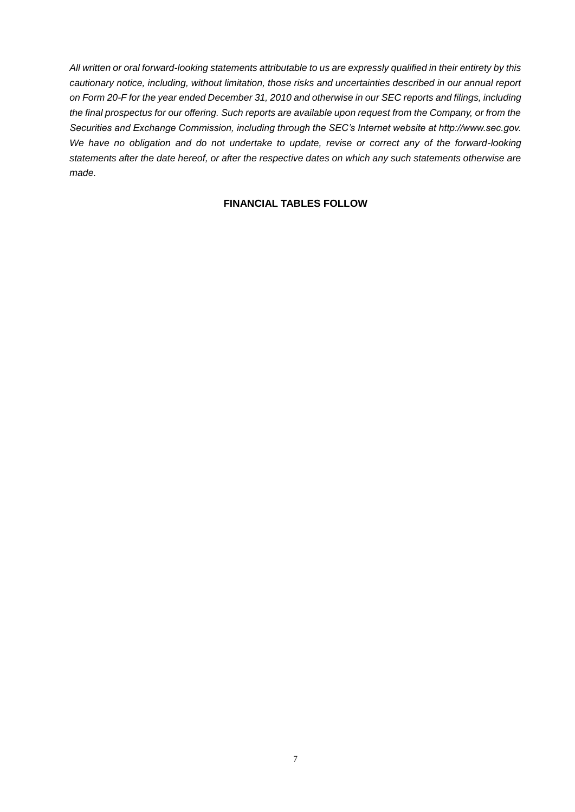*All written or oral forward-looking statements attributable to us are expressly qualified in their entirety by this cautionary notice, including, without limitation, those risks and uncertainties described in our annual report on Form 20-F for the year ended December 31, 2010 and otherwise in our SEC reports and filings, including the final prospectus for our offering. Such reports are available upon request from the Company, or from the Securities and Exchange Commission, including through the SEC's Internet website at http://www.sec.gov. We have no obligation and do not undertake to update, revise or correct any of the forward-looking statements after the date hereof, or after the respective dates on which any such statements otherwise are made.*

#### **FINANCIAL TABLES FOLLOW**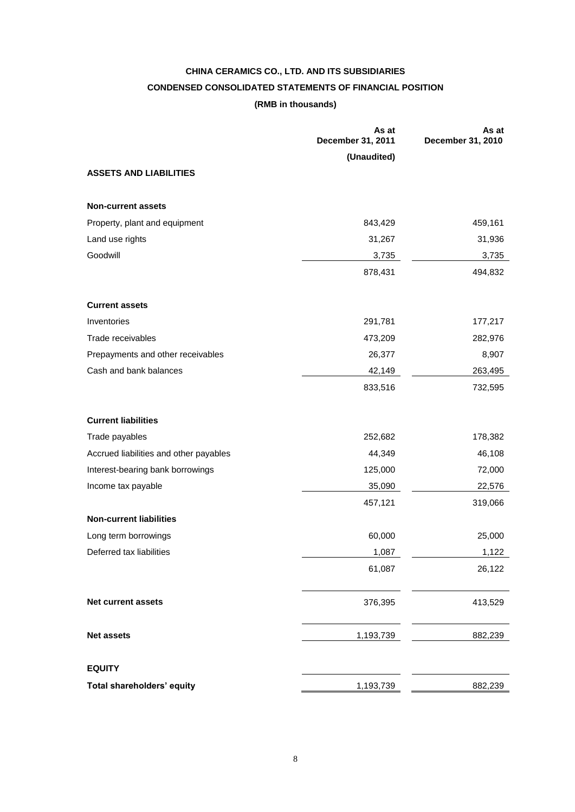# **CHINA CERAMICS CO., LTD. AND ITS SUBSIDIARIES CONDENSED CONSOLIDATED STATEMENTS OF FINANCIAL POSITION (RMB in thousands)**

|                                        | As at<br>December 31, 2011 | As at<br>December 31, 2010 |
|----------------------------------------|----------------------------|----------------------------|
|                                        | (Unaudited)                |                            |
| <b>ASSETS AND LIABILITIES</b>          |                            |                            |
| <b>Non-current assets</b>              |                            |                            |
| Property, plant and equipment          | 843,429                    | 459,161                    |
| Land use rights                        | 31,267                     | 31,936                     |
| Goodwill                               | 3,735                      | 3,735                      |
|                                        | 878,431                    | 494,832                    |
| <b>Current assets</b>                  |                            |                            |
| Inventories                            | 291,781                    | 177,217                    |
| Trade receivables                      | 473,209                    | 282,976                    |
| Prepayments and other receivables      | 26,377                     | 8,907                      |
| Cash and bank balances                 | 42,149                     | 263,495                    |
|                                        | 833,516                    | 732,595                    |
| <b>Current liabilities</b>             |                            |                            |
| Trade payables                         | 252,682                    | 178,382                    |
| Accrued liabilities and other payables | 44,349                     | 46,108                     |
| Interest-bearing bank borrowings       | 125,000                    | 72,000                     |
| Income tax payable                     | 35,090                     | 22,576                     |
|                                        | 457,121                    | 319,066                    |
| <b>Non-current liabilities</b>         |                            |                            |
| Long term borrowings                   | 60,000                     | 25,000                     |
| Deferred tax liabilities               | 1.087                      | 1.122                      |
|                                        | 61,087                     | 26,122                     |
| <b>Net current assets</b>              | 376,395                    | 413,529                    |
| <b>Net assets</b>                      | 1,193,739                  | 882,239                    |
| <b>EQUITY</b>                          |                            |                            |
| Total shareholders' equity             | 1,193,739                  | 882,239                    |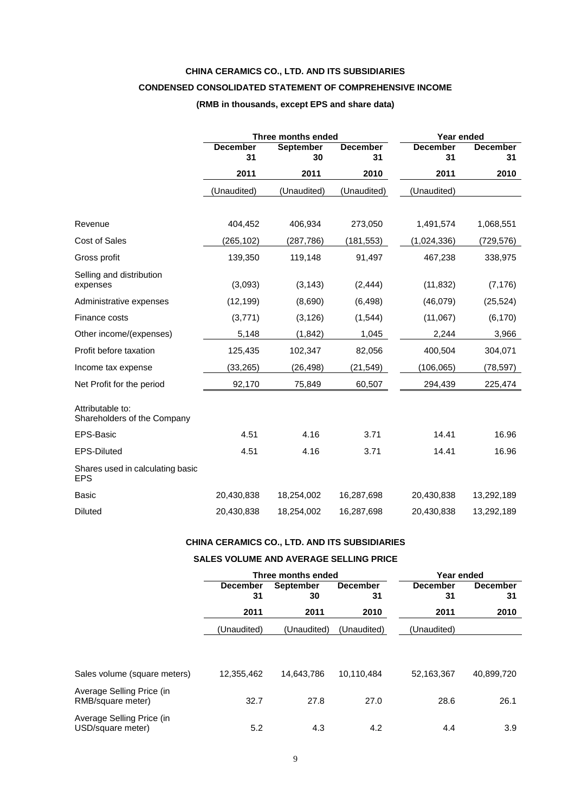# **CHINA CERAMICS CO., LTD. AND ITS SUBSIDIARIES**

## **CONDENSED CONSOLIDATED STATEMENT OF COMPREHENSIVE INCOME**

#### **(RMB in thousands, except EPS and share data)**

|                                                 |                       | Three months ended |                       | Year ended            |                       |  |
|-------------------------------------------------|-----------------------|--------------------|-----------------------|-----------------------|-----------------------|--|
|                                                 | <b>December</b><br>31 | September<br>30    | <b>December</b><br>31 | <b>December</b><br>31 | <b>December</b><br>31 |  |
|                                                 | 2011                  | 2011               | 2010                  | 2011                  | 2010                  |  |
|                                                 | (Unaudited)           | (Unaudited)        | (Unaudited)           | (Unaudited)           |                       |  |
| Revenue                                         | 404,452               | 406,934            | 273,050               | 1,491,574             | 1,068,551             |  |
| Cost of Sales                                   | (265, 102)            | (287, 786)         | (181, 553)            | (1,024,336)           | (729, 576)            |  |
| Gross profit                                    | 139,350               | 119,148            | 91,497                | 467,238               | 338,975               |  |
| Selling and distribution<br>expenses            | (3,093)               | (3, 143)           | (2, 444)              | (11, 832)             | (7, 176)              |  |
| Administrative expenses                         | (12, 199)             | (8,690)            | (6, 498)              | (46,079)              | (25, 524)             |  |
| Finance costs                                   | (3,771)               | (3, 126)           | (1, 544)              | (11,067)              | (6, 170)              |  |
| Other income/(expenses)                         | 5,148                 | (1, 842)           | 1,045                 | 2,244                 | 3,966                 |  |
| Profit before taxation                          | 125,435               | 102,347            | 82,056                | 400,504               | 304,071               |  |
| Income tax expense                              | (33, 265)             | (26, 498)          | (21, 549)             | (106, 065)            | (78, 597)             |  |
| Net Profit for the period                       | 92,170                | 75,849             | 60,507                | 294,439               | 225,474               |  |
| Attributable to:<br>Shareholders of the Company |                       |                    |                       |                       |                       |  |
| EPS-Basic                                       | 4.51                  | 4.16               | 3.71                  | 14.41                 | 16.96                 |  |
| <b>EPS-Diluted</b>                              | 4.51                  | 4.16               | 3.71                  | 14.41                 | 16.96                 |  |
| Shares used in calculating basic<br><b>EPS</b>  |                       |                    |                       |                       |                       |  |
| <b>Basic</b>                                    | 20,430,838            | 18,254,002         | 16,287,698            | 20,430,838            | 13,292,189            |  |
| Diluted                                         | 20,430,838            | 18,254,002         | 16,287,698            | 20,430,838            | 13,292,189            |  |

#### **CHINA CERAMICS CO., LTD. AND ITS SUBSIDIARIES**

#### **SALES VOLUME AND AVERAGE SELLING PRICE**

|                                                |                       | Three months ended     |             | Year ended            |                       |  |
|------------------------------------------------|-----------------------|------------------------|-------------|-----------------------|-----------------------|--|
|                                                | <b>December</b><br>31 | <b>September</b><br>30 |             | <b>December</b><br>31 | <b>December</b><br>31 |  |
|                                                | 2011                  | 2011                   | 2010        | 2011                  | 2010                  |  |
|                                                | (Unaudited)           | (Unaudited)            | (Unaudited) | (Unaudited)           |                       |  |
| Sales volume (square meters)                   | 12,355,462            | 14,643,786             | 10.110.484  | 52,163,367            | 40,899,720            |  |
| Average Selling Price (in<br>RMB/square meter) | 32.7                  | 27.8                   | 27.0        | 28.6                  | 26.1                  |  |
| Average Selling Price (in<br>USD/square meter) | 5.2                   | 4.3                    | 4.2         | 4.4                   | 3.9                   |  |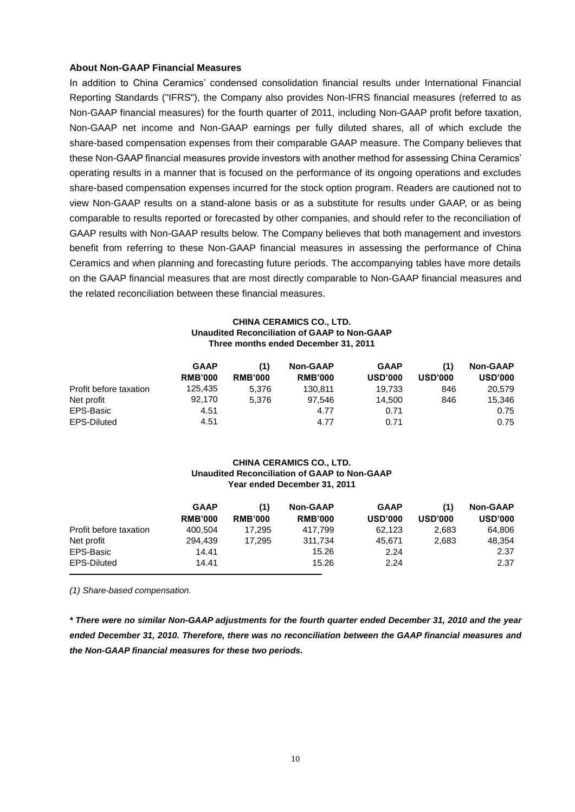#### **About Non-GAAP Financial Measures**

In addition to China Ceramics' condensed consolidation financial results under International Financial Reporting Standards ("IFRS"), the Company also provides Non-IFRS financial measures (referred to as Non-GAAP financial measures) for the fourth quarter of 2011, including Non-GAAP profit before taxation, Non-GAAP net income and Non-GAAP earnings per fully diluted shares, all of which exclude the share-based compensation expenses from their comparable GAAP measure. The Company believes that these Non-GAAP financial measures provide investors with another method for assessing China Ceramics' operating results in a manner that is focused on the performance of its ongoing operations and excludes share-based compensation expenses incurred for the stock option program. Readers are cautioned not to view Non-GAAP results on a stand-alone basis or as a substitute for results under GAAP, or as being comparable to results reported or forecasted by other companies, and should refer to the reconciliation of GAAP results with Non-GAAP results below. The Company believes that both management and investors benefit from referring to these Non-GAAP financial measures in assessing the performance of China Ceramics and when planning and forecasting future periods. The accompanying tables have more details on the GAAP financial measures that are most directly comparable to Non-GAAP financial measures and the related reconciliation between these financial measures.

#### **CHINA CERAMICS CO., LTD. Unaudited Reconciliation of GAAP to Non-GAAP Three months ended December 31, 2011**

|                        | <b>GAAP</b><br><b>RMB'000</b> | <b>RMB'000</b> | <b>Non-GAAP</b><br><b>RMB'000</b> | <b>GAAP</b><br><b>USD'000</b> | (1)<br><b>USD'000</b> | <b>Non-GAAP</b><br><b>USD'000</b> |
|------------------------|-------------------------------|----------------|-----------------------------------|-------------------------------|-----------------------|-----------------------------------|
| Profit before taxation | 125.435                       | 5.376          | 130.811                           | 19.733                        | 846                   | 20.579                            |
| Net profit             | 92.170                        | 5.376          | 97.546                            | 14.500                        | 846                   | 15.346                            |
| EPS-Basic              | 4.51                          |                | 4.77                              | 0.71                          |                       | 0.75                              |
| EPS-Diluted            | 4.51                          |                | 4.77                              | 0.71                          |                       | 0.75                              |

#### **CHINA CERAMICS CO., LTD. Unaudited Reconciliation of GAAP to Non-GAAP Year ended December 31, 2011**

|                        | <b>GAAP</b><br><b>RMB'000</b> | (1)<br><b>RMB'000</b> | <b>Non-GAAP</b><br><b>RMB'000</b> | <b>GAAP</b><br><b>USD'000</b> | (1)<br><b>USD'000</b> | <b>Non-GAAP</b><br><b>USD'000</b> |
|------------------------|-------------------------------|-----------------------|-----------------------------------|-------------------------------|-----------------------|-----------------------------------|
| Profit before taxation | 400.504                       | 17.295                | 417.799                           | 62.123                        | 2.683                 | 64.806                            |
| Net profit             | 294.439                       | 17.295                | 311.734                           | 45.671                        | 2.683                 | 48,354                            |
| EPS-Basic              | 14.41                         |                       | 15.26                             | 2.24                          |                       | 2.37                              |
| EPS-Diluted            | 14.41                         |                       | 15.26                             | 2.24                          |                       | 2.37                              |

*(1) Share-based compensation.*

*\* There were no similar Non-GAAP adjustments for the fourth quarter ended December 31, 2010 and the year ended December 31, 2010. Therefore, there was no reconciliation between the GAAP financial measures and the Non-GAAP financial measures for these two periods.*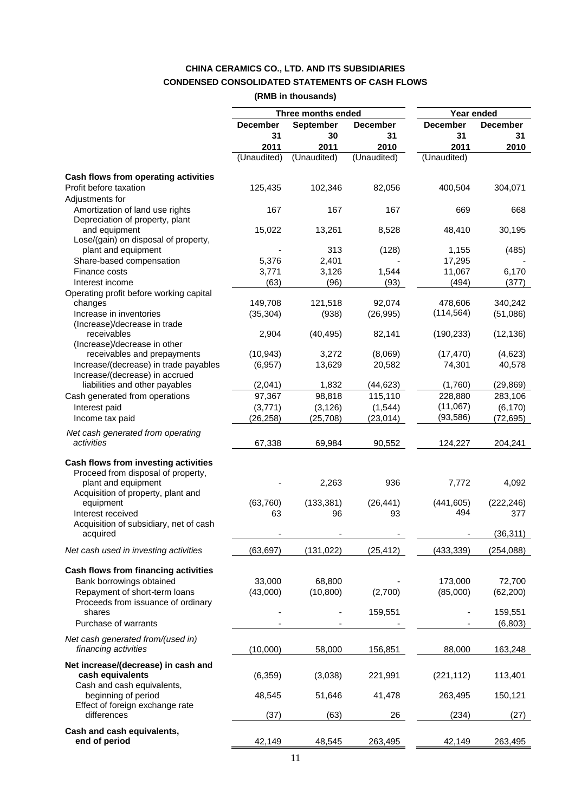# **CHINA CERAMICS CO., LTD. AND ITS SUBSIDIARIES CONDENSED CONSOLIDATED STATEMENTS OF CASH FLOWS**

**(RMB in thousands)**

|                                                                  | Three months ended |                  | Year ended           |                 |                 |
|------------------------------------------------------------------|--------------------|------------------|----------------------|-----------------|-----------------|
|                                                                  |                    |                  |                      |                 |                 |
|                                                                  | <b>December</b>    | <b>September</b> | <b>December</b>      | <b>December</b> | <b>December</b> |
|                                                                  | 31                 | 30               | 31                   | 31              | 31              |
|                                                                  | 2011               | 2011             | 2010                 | 2011            | 2010            |
|                                                                  | (Unaudited)        | (Unaudited)      | (Unaudited)          | (Unaudited)     |                 |
| Cash flows from operating activities                             |                    |                  |                      |                 |                 |
| Profit before taxation                                           | 125,435            | 102,346          | 82,056               | 400,504         | 304,071         |
| Adjustments for                                                  |                    |                  |                      |                 |                 |
| Amortization of land use rights                                  | 167                | 167              | 167                  | 669             | 668             |
| Depreciation of property, plant                                  |                    |                  |                      |                 |                 |
| and equipment                                                    | 15,022             | 13,261           | 8,528                | 48,410          | 30,195          |
| Lose/(gain) on disposal of property,                             |                    |                  |                      |                 |                 |
| plant and equipment                                              |                    | 313              | (128)                | 1,155           | (485)           |
| Share-based compensation                                         | 5,376              | 2,401            |                      | 17,295          |                 |
| Finance costs                                                    | 3,771              | 3,126            | 1,544                | 11,067          | 6,170           |
| Interest income                                                  | (63)               | (96)             | (93)                 | (494)           | (377)           |
| Operating profit before working capital                          |                    |                  |                      |                 |                 |
| changes                                                          | 149,708            | 121,518          | 92,074               | 478,606         | 340,242         |
| Increase in inventories                                          | (35, 304)          | (938)            | (26, 995)            | (114, 564)      | (51,086)        |
| (Increase)/decrease in trade                                     |                    |                  |                      |                 |                 |
| receivables                                                      | 2,904              | (40, 495)        | 82,141               | (190, 233)      | (12, 136)       |
| (Increase)/decrease in other                                     |                    |                  |                      |                 |                 |
| receivables and prepayments                                      | (10, 943)          | 3,272            | (8,069)              | (17, 470)       | (4,623)         |
| Increase/(decrease) in trade payables                            | (6,957)            | 13,629           | 20,582               | 74,301          | 40,578          |
| Increase/(decrease) in accrued<br>liabilities and other payables | (2,041)            | 1,832            |                      | (1,760)         | (29, 869)       |
|                                                                  |                    | 98,818           | (44, 623)<br>115,110 | 228,880         | 283,106         |
| Cash generated from operations                                   | 97,367             | (3, 126)         | (1, 544)             | (11,067)        | (6, 170)        |
| Interest paid                                                    | (3,771)            |                  |                      | (93, 586)       |                 |
| Income tax paid                                                  | (26, 258)          | (25, 708)        | (23, 014)            |                 | (72, 695)       |
| Net cash generated from operating                                |                    |                  |                      |                 |                 |
| activities                                                       | 67,338             | 69,984           | 90,552               | 124,227         | 204,241         |
| Cash flows from investing activities                             |                    |                  |                      |                 |                 |
| Proceed from disposal of property,                               |                    |                  |                      |                 |                 |
| plant and equipment                                              |                    | 2,263            | 936                  | 7,772           | 4,092           |
| Acquisition of property, plant and                               |                    |                  |                      |                 |                 |
| equipment                                                        | (63, 760)          | (133, 381)       | (26, 441)            | (441, 605)      | (222, 246)      |
| Interest received                                                | 63                 | 96               | 93                   | 494             | 377             |
| Acquisition of subsidiary, net of cash                           |                    |                  |                      |                 |                 |
| acquired                                                         |                    |                  |                      |                 | (36, 311)       |
| Net cash used in investing activities                            | (63,697)           | (131, 022)       | (25, 412)            | (433, 339)      | (254, 088)      |
|                                                                  |                    |                  |                      |                 |                 |
| Cash flows from financing activities                             |                    |                  |                      |                 |                 |
| Bank borrowings obtained                                         | 33,000             | 68,800           |                      | 173,000         | 72,700          |
| Repayment of short-term loans                                    | (43,000)           | (10, 800)        | (2,700)              | (85,000)        | (62, 200)       |
| Proceeds from issuance of ordinary<br>shares                     |                    |                  | 159,551              |                 | 159,551         |
| Purchase of warrants                                             |                    |                  |                      |                 | (6, 803)        |
|                                                                  |                    |                  |                      |                 |                 |
| Net cash generated from/(used in)                                |                    |                  |                      |                 |                 |
| financing activities                                             | (10,000)           | 58,000           | 156,851              | 88,000          | 163,248         |
| Net increase/(decrease) in cash and                              |                    |                  |                      |                 |                 |
| cash equivalents                                                 | (6, 359)           | (3,038)          | 221,991              | (221, 112)      | 113,401         |
| Cash and cash equivalents,                                       |                    |                  |                      |                 |                 |
| beginning of period                                              | 48,545             | 51,646           | 41,478               | 263,495         | 150,121         |
| Effect of foreign exchange rate                                  |                    |                  |                      |                 |                 |
| differences                                                      | (37)               | (63)             | 26                   | (234)           | (27)            |
| Cash and cash equivalents,                                       |                    |                  |                      |                 |                 |
| end of period                                                    | 42,149             | 48,545           | 263,495              | 42,149          | 263,495         |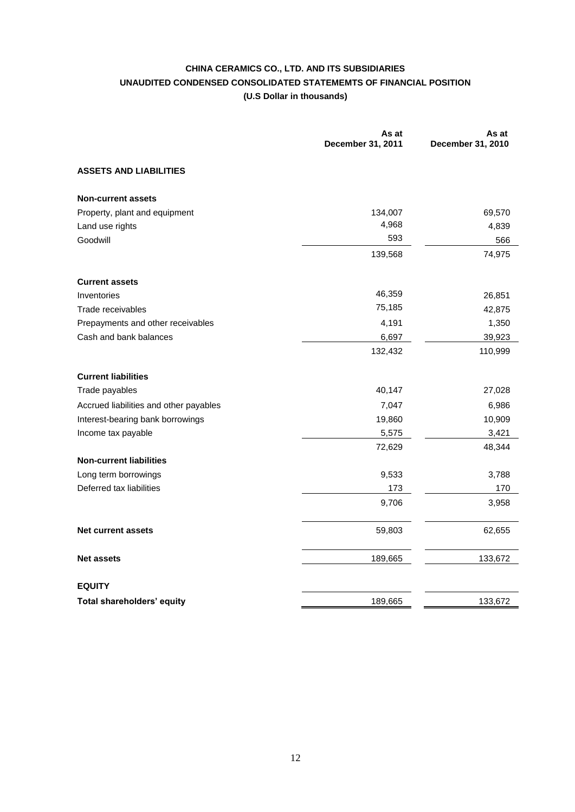# **CHINA CERAMICS CO., LTD. AND ITS SUBSIDIARIES UNAUDITED CONDENSED CONSOLIDATED STATEMEMTS OF FINANCIAL POSITION (U.S Dollar in thousands)**

|                                        | As at<br>December 31, 2011 | As at<br>December 31, 2010 |
|----------------------------------------|----------------------------|----------------------------|
| <b>ASSETS AND LIABILITIES</b>          |                            |                            |
| <b>Non-current assets</b>              |                            |                            |
| Property, plant and equipment          | 134,007                    | 69,570                     |
| Land use rights                        | 4,968                      | 4,839                      |
| Goodwill                               | 593                        | 566                        |
|                                        | 139,568                    | 74,975                     |
| <b>Current assets</b>                  |                            |                            |
| Inventories                            | 46,359                     | 26,851                     |
| Trade receivables                      | 75,185                     | 42,875                     |
| Prepayments and other receivables      | 4,191                      | 1,350                      |
| Cash and bank balances                 | 6,697                      | 39,923                     |
|                                        | 132,432                    | 110,999                    |
| <b>Current liabilities</b>             |                            |                            |
| Trade payables                         | 40,147                     | 27,028                     |
| Accrued liabilities and other payables | 7,047                      | 6,986                      |
| Interest-bearing bank borrowings       | 19,860                     | 10,909                     |
| Income tax payable                     | 5,575                      | 3,421                      |
|                                        | 72,629                     | 48,344                     |
| <b>Non-current liabilities</b>         |                            |                            |
| Long term borrowings                   | 9,533                      | 3,788                      |
| Deferred tax liabilities               | 173                        | 170                        |
|                                        | 9,706                      | 3,958                      |
| <b>Net current assets</b>              | 59,803                     | 62,655                     |
| <b>Net assets</b>                      | 189,665                    | 133,672                    |
| <b>EQUITY</b>                          |                            |                            |
| Total shareholders' equity             | 189,665                    | 133,672                    |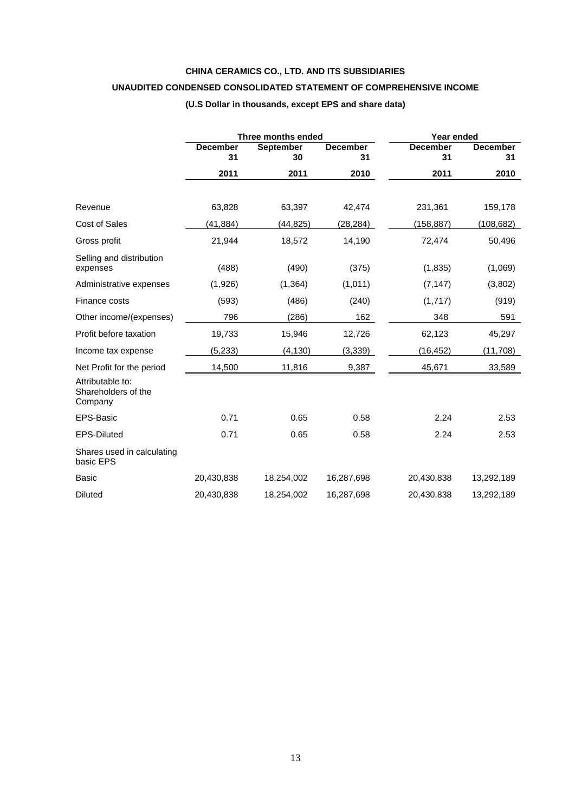## **CHINA CERAMICS CO., LTD. AND ITS SUBSIDIARIES**

## **UNAUDITED CONDENSED CONSOLIDATED STATEMENT OF COMPREHENSIVE INCOME**

|                                                    | Three months ended    |                        |                       | Year ended            |                       |  |
|----------------------------------------------------|-----------------------|------------------------|-----------------------|-----------------------|-----------------------|--|
|                                                    | <b>December</b><br>31 | <b>September</b><br>30 | <b>December</b><br>31 | <b>December</b><br>31 | <b>December</b><br>31 |  |
|                                                    | 2011                  | 2011                   | 2010                  | 2011                  | 2010                  |  |
|                                                    |                       |                        |                       |                       |                       |  |
| Revenue                                            | 63,828                | 63,397                 | 42,474                | 231,361               | 159,178               |  |
| <b>Cost of Sales</b>                               | (41, 884)             | (44, 825)              | (28, 284)             | (158, 887)            | (108, 682)            |  |
| Gross profit                                       | 21,944                | 18,572                 | 14,190                | 72,474                | 50,496                |  |
| Selling and distribution<br>expenses               | (488)                 | (490)                  | (375)                 | (1,835)               | (1,069)               |  |
| Administrative expenses                            | (1,926)               | (1, 364)               | (1,011)               | (7, 147)              | (3,802)               |  |
| Finance costs                                      | (593)                 | (486)                  | (240)                 | (1,717)               | (919)                 |  |
| Other income/(expenses)                            | 796                   | (286)                  | 162                   | 348                   | 591                   |  |
| Profit before taxation                             | 19,733                | 15,946                 | 12,726                | 62,123                | 45,297                |  |
| Income tax expense                                 | (5, 233)              | (4, 130)               | (3,339)               | (16,452)              | (11, 708)             |  |
| Net Profit for the period                          | 14,500                | 11,816                 | 9,387                 | 45,671                | 33,589                |  |
| Attributable to:<br>Shareholders of the<br>Company |                       |                        |                       |                       |                       |  |
| <b>EPS-Basic</b>                                   | 0.71                  | 0.65                   | 0.58                  | 2.24                  | 2.53                  |  |
| <b>EPS-Diluted</b>                                 | 0.71                  | 0.65                   | 0.58                  | 2.24                  | 2.53                  |  |
| Shares used in calculating<br>basic EPS            |                       |                        |                       |                       |                       |  |
| Basic                                              | 20,430,838            | 18,254,002             | 16,287,698            | 20,430,838            | 13,292,189            |  |
| Diluted                                            | 20,430,838            | 18,254,002             | 16,287,698            | 20,430,838            | 13,292,189            |  |

## **(U.S Dollar in thousands, except EPS and share data)**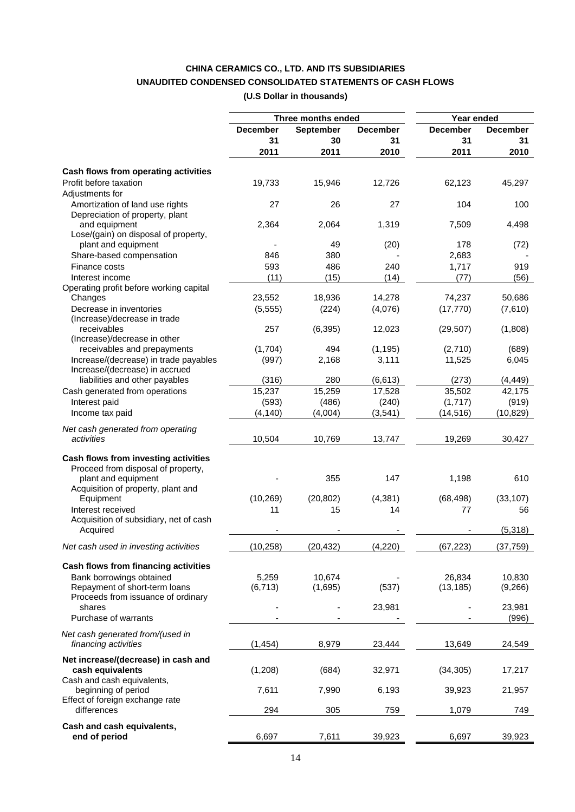# **CHINA CERAMICS CO., LTD. AND ITS SUBSIDIARIES UNAUDITED CONDENSED CONSOLIDATED STATEMENTS OF CASH FLOWS (U.S Dollar in thousands)**

|                                                                    |                 | Three months ended |                 | Year ended      |                   |
|--------------------------------------------------------------------|-----------------|--------------------|-----------------|-----------------|-------------------|
|                                                                    | <b>December</b> | September          | <b>December</b> | <b>December</b> | <b>December</b>   |
|                                                                    | 31              | 30                 | 31              | 31              | 31                |
|                                                                    | 2011            | 2011               | 2010            | 2011            | 2010              |
| Cash flows from operating activities                               |                 |                    |                 |                 |                   |
| Profit before taxation                                             | 19,733          | 15,946             | 12,726          | 62,123          | 45,297            |
| Adjustments for                                                    |                 |                    |                 |                 |                   |
| Amortization of land use rights<br>Depreciation of property, plant | 27              | 26                 | 27              | 104             | 100               |
| and equipment                                                      | 2,364           | 2.064              | 1,319           | 7,509           | 4,498             |
| Lose/(gain) on disposal of property,                               |                 |                    |                 |                 |                   |
| plant and equipment                                                |                 | 49                 | (20)            | 178             | (72)              |
| Share-based compensation                                           | 846             | 380                |                 | 2,683           |                   |
| Finance costs                                                      | 593             | 486                | 240             | 1,717           | 919               |
| Interest income                                                    | (11)            | (15)               | (14)            | (77)            | (56)              |
| Operating profit before working capital                            |                 |                    |                 |                 |                   |
| Changes                                                            | 23,552          | 18,936             | 14,278          | 74,237          | 50,686            |
| Decrease in inventories                                            | (5, 555)        | (224)              | (4,076)         | (17, 770)       | (7,610)           |
| (Increase)/decrease in trade<br>receivables                        | 257             | (6, 395)           | 12,023          | (29, 507)       | (1,808)           |
| (Increase)/decrease in other                                       |                 |                    |                 |                 |                   |
| receivables and prepayments                                        | (1,704)         | 494                | (1, 195)        | (2,710)         | (689)             |
| Increase/(decrease) in trade payables                              | (997)           | 2,168              | 3,111           | 11,525          | 6,045             |
| Increase/(decrease) in accrued                                     |                 |                    |                 |                 |                   |
| liabilities and other payables                                     | (316)           | 280                | (6, 613)        | (273)           | (4, 449)          |
| Cash generated from operations                                     | 15,237          | 15,259             | 17,528          | 35,502          | 42,175            |
| Interest paid                                                      | (593)           | (486)              | (240)           | (1,717)         | (919)             |
| Income tax paid                                                    | (4, 140)        | (4,004)            | (3, 541)        | (14, 516)       | (10, 829)         |
|                                                                    |                 |                    |                 |                 |                   |
| Net cash generated from operating                                  |                 |                    |                 |                 |                   |
| activities                                                         | 10,504          | 10,769             | 13,747          | 19,269          | 30,427            |
| Cash flows from investing activities                               |                 |                    |                 |                 |                   |
| Proceed from disposal of property,                                 |                 |                    |                 |                 |                   |
| plant and equipment                                                |                 | 355                | 147             | 1,198           | 610               |
| Acquisition of property, plant and                                 |                 |                    |                 |                 |                   |
| Equipment                                                          | (10, 269)       | (20, 802)          | (4, 381)        | (68, 498)       | (33, 107)         |
| Interest received                                                  | 11              | 15                 | 14              | 77              | 56                |
| Acquisition of subsidiary, net of cash                             |                 |                    |                 |                 |                   |
| Acquired                                                           |                 |                    |                 |                 | (5,318)           |
| Net cash used in investing activities                              | (10, 258)       | (20, 432)          | (4,220)         | (67, 223)       | (37, 759)         |
| Cash flows from financing activities                               |                 |                    |                 |                 |                   |
| Bank borrowings obtained                                           | 5,259           | 10,674             |                 | 26,834          |                   |
| Repayment of short-term loans                                      | (6, 713)        | (1,695)            | (537)           | (13, 185)       | 10,830<br>(9,266) |
| Proceeds from issuance of ordinary                                 |                 |                    |                 |                 |                   |
| shares                                                             |                 |                    | 23,981          |                 | 23,981            |
| Purchase of warrants                                               |                 |                    |                 |                 | (996)             |
|                                                                    |                 |                    |                 |                 |                   |
| Net cash generated from/(used in                                   |                 |                    |                 |                 |                   |
| financing activities                                               | (1, 454)        | 8,979              | 23,444          | 13,649          | 24,549            |
| Net increase/(decrease) in cash and                                |                 |                    |                 |                 |                   |
| cash equivalents                                                   | (1,208)         | (684)              | 32,971          | (34, 305)       | 17,217            |
| Cash and cash equivalents,                                         |                 |                    |                 |                 |                   |
| beginning of period                                                | 7,611           | 7,990              | 6,193           | 39,923          | 21,957            |
| Effect of foreign exchange rate                                    |                 |                    |                 |                 |                   |
| differences                                                        | 294             | 305                | 759             | 1,079           | 749               |
| Cash and cash equivalents,                                         |                 |                    |                 |                 |                   |
| end of period                                                      | 6,697           | 7,611              | 39,923          | 6,697           | 39,923            |